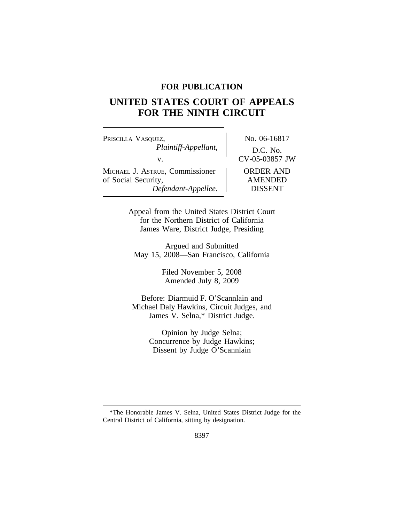### **FOR PUBLICATION**

# **UNITED STATES COURT OF APPEALS FOR THE NINTH CIRCUIT**

PRISCILLA VASQUEZ, No. 06-16817 *Plaintiff-Appellant,* D.C. No. v.<br>UE. Commissioner CV-05-03857 JW MICHAEL J. ASTRUE, Commissioner of Social Security,  $\blacksquare$  AMENDED *Defendant-Appellee.* DISSENT

Appeal from the United States District Court for the Northern District of California James Ware, District Judge, Presiding

Argued and Submitted May 15, 2008—San Francisco, California

> Filed November 5, 2008 Amended July 8, 2009

Before: Diarmuid F. O'Scannlain and Michael Daly Hawkins, Circuit Judges, and James V. Selna,\* District Judge.

> Opinion by Judge Selna; Concurrence by Judge Hawkins; Dissent by Judge O'Scannlain

<sup>\*</sup>The Honorable James V. Selna, United States District Judge for the Central District of California, sitting by designation.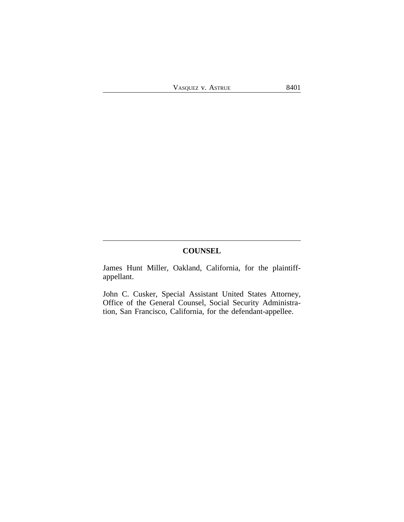## **COUNSEL**

James Hunt Miller, Oakland, California, for the plaintiffappellant.

John C. Cusker, Special Assistant United States Attorney, Office of the General Counsel, Social Security Administration, San Francisco, California, for the defendant-appellee.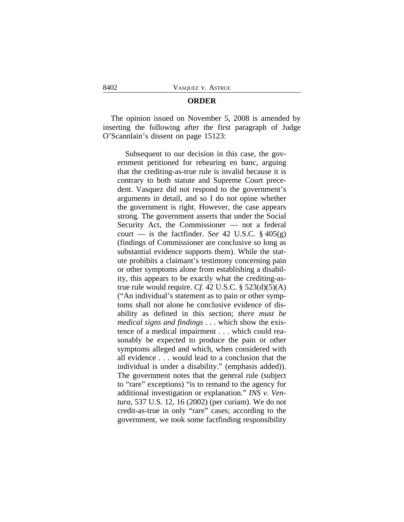#### **ORDER**

The opinion issued on November 5, 2008 is amended by inserting the following after the first paragraph of Judge O'Scannlain's dissent on page 15123:

Subsequent to our decision in this case, the government petitioned for rehearing en banc, arguing that the crediting-as-true rule is invalid because it is contrary to both statute and Supreme Court precedent. Vasquez did not respond to the government's arguments in detail, and so I do not opine whether the government is right. However, the case appears strong. The government asserts that under the Social Security Act, the Commissioner — not a federal court — is the factfinder. *See* 42 U.S.C.  $\S$  405(g) (findings of Commissioner are conclusive so long as substantial evidence supports them). While the statute prohibits a claimant's testimony concerning pain or other symptoms alone from establishing a disability, this appears to be exactly what the crediting-astrue rule would require. *Cf.* 42 U.S.C.  $\S$  523(d)(5)(A) ("An individual's statement as to pain or other symptoms shall not alone be conclusive evidence of disability as defined in this section; *there must be medical signs and findings* . . . which show the existence of a medical impairment . . . which could reasonably be expected to produce the pain or other symptoms alleged and which, when considered with all evidence . . . would lead to a conclusion that the individual is under a disability." (emphasis added)). The government notes that the general rule (subject to "rare" exceptions) "is to remand to the agency for additional investigation or explanation." *INS v. Ventura*, 537 U.S. 12, 16 (2002) (per curiam). We do not credit-as-true in only "rare" cases; according to the government, we took some factfinding responsibility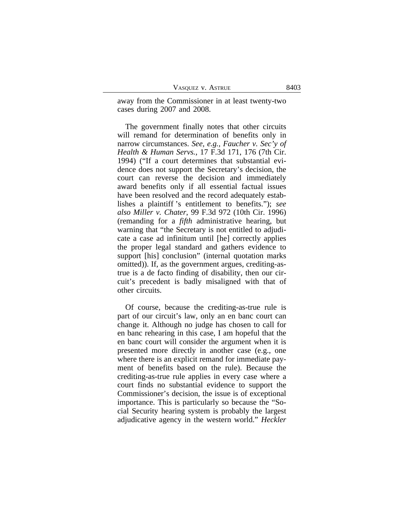VASQUEZ V. ASTRUE 8403

away from the Commissioner in at least twenty-two cases during 2007 and 2008.

The government finally notes that other circuits will remand for determination of benefits only in narrow circumstances. *See, e.g., Faucher v. Sec'y of Health & Human Servs.*, 17 F.3d 171, 176 (7th Cir. 1994) ("If a court determines that substantial evidence does not support the Secretary's decision, the court can reverse the decision and immediately award benefits only if all essential factual issues have been resolved and the record adequately establishes a plaintiff 's entitlement to benefits."); *see also Miller v. Chater*, 99 F.3d 972 (10th Cir. 1996) (remanding for a *fifth* administrative hearing, but warning that "the Secretary is not entitled to adjudicate a case ad infinitum until [he] correctly applies the proper legal standard and gathers evidence to support [his] conclusion" (internal quotation marks omitted)). If, as the government argues, crediting-astrue is a de facto finding of disability, then our circuit's precedent is badly misaligned with that of other circuits.

Of course, because the crediting-as-true rule is part of our circuit's law, only an en banc court can change it. Although no judge has chosen to call for en banc rehearing in this case, I am hopeful that the en banc court will consider the argument when it is presented more directly in another case (e.g., one where there is an explicit remand for immediate payment of benefits based on the rule). Because the crediting-as-true rule applies in every case where a court finds no substantial evidence to support the Commissioner's decision, the issue is of exceptional importance. This is particularly so because the "Social Security hearing system is probably the largest adjudicative agency in the western world." *Heckler*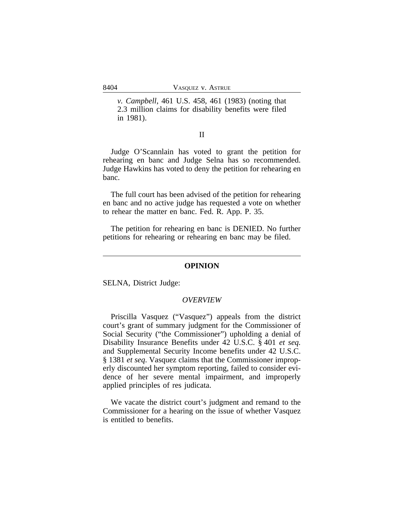*v. Campbell*, 461 U.S. 458, 461 (1983) (noting that 2.3 million claims for disability benefits were filed in 1981).

#### II

Judge O'Scannlain has voted to grant the petition for rehearing en banc and Judge Selna has so recommended. Judge Hawkins has voted to deny the petition for rehearing en banc.

The full court has been advised of the petition for rehearing en banc and no active judge has requested a vote on whether to rehear the matter en banc. Fed. R. App. P. 35.

The petition for rehearing en banc is DENIED. No further petitions for rehearing or rehearing en banc may be filed.

#### **OPINION**

SELNA, District Judge:

#### *OVERVIEW*

Priscilla Vasquez ("Vasquez") appeals from the district court's grant of summary judgment for the Commissioner of Social Security ("the Commissioner") upholding a denial of Disability Insurance Benefits under 42 U.S.C. § 401 *et seq.* and Supplemental Security Income benefits under 42 U.S.C. § 1381 *et seq*. Vasquez claims that the Commissioner improperly discounted her symptom reporting, failed to consider evidence of her severe mental impairment, and improperly applied principles of res judicata.

We vacate the district court's judgment and remand to the Commissioner for a hearing on the issue of whether Vasquez is entitled to benefits.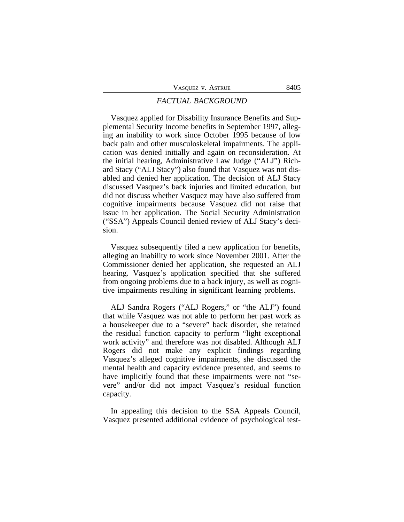#### *FACTUAL BACKGROUND*

Vasquez applied for Disability Insurance Benefits and Supplemental Security Income benefits in September 1997, alleging an inability to work since October 1995 because of low back pain and other musculoskeletal impairments. The application was denied initially and again on reconsideration. At the initial hearing, Administrative Law Judge ("ALJ") Richard Stacy ("ALJ Stacy") also found that Vasquez was not disabled and denied her application. The decision of ALJ Stacy discussed Vasquez's back injuries and limited education, but did not discuss whether Vasquez may have also suffered from cognitive impairments because Vasquez did not raise that issue in her application. The Social Security Administration ("SSA") Appeals Council denied review of ALJ Stacy's decision.

Vasquez subsequently filed a new application for benefits, alleging an inability to work since November 2001. After the Commissioner denied her application, she requested an ALJ hearing. Vasquez's application specified that she suffered from ongoing problems due to a back injury, as well as cognitive impairments resulting in significant learning problems.

ALJ Sandra Rogers ("ALJ Rogers," or "the ALJ") found that while Vasquez was not able to perform her past work as a housekeeper due to a "severe" back disorder, she retained the residual function capacity to perform "light exceptional work activity" and therefore was not disabled. Although ALJ Rogers did not make any explicit findings regarding Vasquez's alleged cognitive impairments, she discussed the mental health and capacity evidence presented, and seems to have implicitly found that these impairments were not "severe" and/or did not impact Vasquez's residual function capacity.

In appealing this decision to the SSA Appeals Council, Vasquez presented additional evidence of psychological test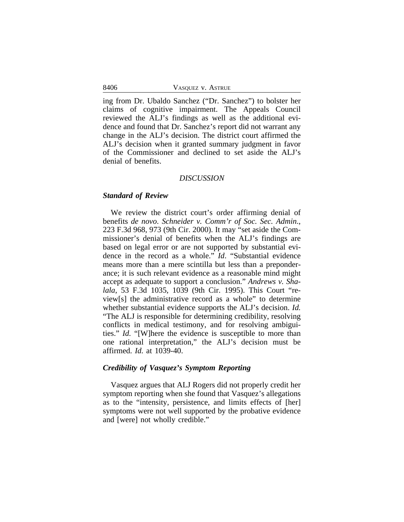8406 VASQUEZ V. ASTRUE

ing from Dr. Ubaldo Sanchez ("Dr. Sanchez") to bolster her claims of cognitive impairment. The Appeals Council reviewed the ALJ's findings as well as the additional evidence and found that Dr. Sanchez's report did not warrant any change in the ALJ's decision. The district court affirmed the ALJ's decision when it granted summary judgment in favor of the Commissioner and declined to set aside the ALJ's denial of benefits.

#### *DISCUSSION*

#### *Standard of Review*

We review the district court's order affirming denial of benefits *de novo*. *Schneider v. Comm'r of Soc. Sec. Admin*., 223 F.3d 968, 973 (9th Cir. 2000). It may "set aside the Commissioner's denial of benefits when the ALJ's findings are based on legal error or are not supported by substantial evidence in the record as a whole." *Id*. "Substantial evidence means more than a mere scintilla but less than a preponderance; it is such relevant evidence as a reasonable mind might accept as adequate to support a conclusion." *Andrews v. Shalala*, 53 F.3d 1035, 1039 (9th Cir. 1995). This Court "review[s] the administrative record as a whole" to determine whether substantial evidence supports the ALJ's decision. *Id.* "The ALJ is responsible for determining credibility, resolving conflicts in medical testimony, and for resolving ambiguities." *Id.* "[W]here the evidence is susceptible to more than one rational interpretation," the ALJ's decision must be affirmed. *Id.* at 1039-40.

#### *Credibility of Vasquez's Symptom Reporting*

Vasquez argues that ALJ Rogers did not properly credit her symptom reporting when she found that Vasquez's allegations as to the "intensity, persistence, and limits effects of [her] symptoms were not well supported by the probative evidence and [were] not wholly credible."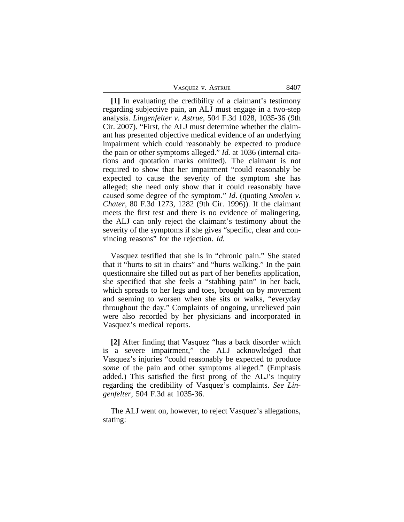| VASQUEZ V. ASTRUE | 8407 |
|-------------------|------|
|-------------------|------|

**[1]** In evaluating the credibility of a claimant's testimony regarding subjective pain, an ALJ must engage in a two-step analysis. *Lingenfelter v. Astrue*, 504 F.3d 1028, 1035-36 (9th Cir. 2007). "First, the ALJ must determine whether the claimant has presented objective medical evidence of an underlying impairment which could reasonably be expected to produce the pain or other symptoms alleged." *Id.* at 1036 (internal citations and quotation marks omitted). The claimant is not required to show that her impairment "could reasonably be expected to cause the severity of the symptom she has alleged; she need only show that it could reasonably have caused some degree of the symptom." *Id*. (quoting *Smolen v. Chater*, 80 F.3d 1273, 1282 (9th Cir. 1996)). If the claimant meets the first test and there is no evidence of malingering, the ALJ can only reject the claimant's testimony about the severity of the symptoms if she gives "specific, clear and convincing reasons" for the rejection. *Id.*

Vasquez testified that she is in "chronic pain." She stated that it "hurts to sit in chairs" and "hurts walking." In the pain questionnaire she filled out as part of her benefits application, she specified that she feels a "stabbing pain" in her back, which spreads to her legs and toes, brought on by movement and seeming to worsen when she sits or walks, "everyday throughout the day." Complaints of ongoing, unrelieved pain were also recorded by her physicians and incorporated in Vasquez's medical reports.

**[2]** After finding that Vasquez "has a back disorder which is a severe impairment," the ALJ acknowledged that Vasquez's injuries "could reasonably be expected to produce *some* of the pain and other symptoms alleged." (Emphasis added.) This satisfied the first prong of the ALJ's inquiry regarding the credibility of Vasquez's complaints. *See Lingenfelter*, 504 F.3d at 1035-36.

The ALJ went on, however, to reject Vasquez's allegations, stating: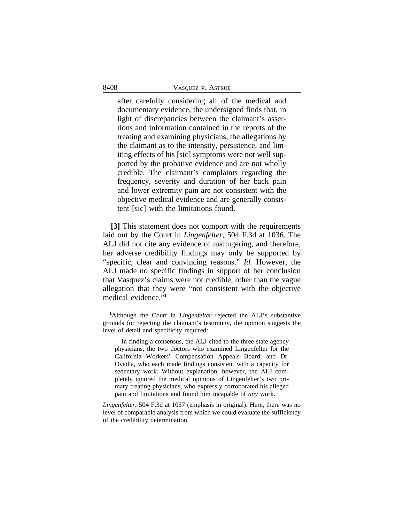after carefully considering all of the medical and documentary evidence, the undersigned finds that, in light of discrepancies between the claimant's assertions and information contained in the reports of the treating and examining physicians, the allegations by the claimant as to the intensity, persistence, and limiting effects of his [sic] symptoms were not well supported by the probative evidence and are not wholly credible. The claimant's complaints regarding the frequency, severity and duration of her back pain and lower extremity pain are not consistent with the objective medical evidence and are generally consistent [sic] with the limitations found.

**[3]** This statement does not comport with the requirements laid out by the Court in *Lingenfelter,* 504 F.3d at 1036. The ALJ did not cite any evidence of malingering, and therefore, her adverse credibility findings may only be supported by "specific, clear and convincing reasons." *Id.* However, the ALJ made no specific findings in support of her conclusion that Vasquez's claims were not credible, other than the vague allegation that they were "not consistent with the objective medical evidence." **1**

In finding a consensus, the ALJ cited to the three state agency physicians, the two doctors who examined Lingenfelter for the California Workers' Compensation Appeals Board, and Dr. Ovadia, who each made findings consistent with a capacity for sedentary work. Without explanation, however, the ALJ completely ignored the medical opinions of Lingenfelter's two primary treating physicians, who expressly corroborated his alleged pain and limitations and found him incapable of *any* work.

*Lingenfelter*, 504 F.3d at 1037 (emphasis in original). Here, there was no level of comparable analysis from which we could evaluate the sufficiency of the credibility determination.

**<sup>1</sup>**Although the Court in *Lingenfelter* rejected the ALJ's substantive grounds for rejecting the claimant's testimony, the opinion suggests the level of detail and specificity required: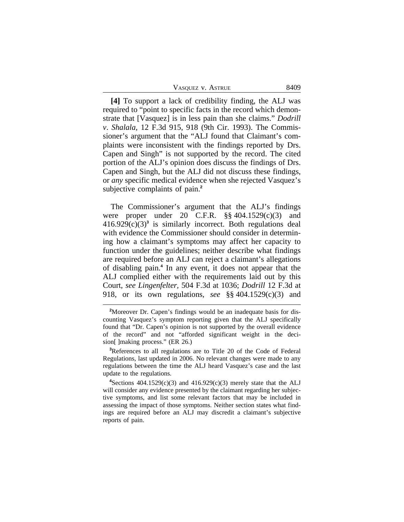| VASQUEZ V. ASTRUE | 8409 |
|-------------------|------|
|-------------------|------|

**[4]** To support a lack of credibility finding, the ALJ was required to "point to specific facts in the record which demonstrate that [Vasquez] is in less pain than she claims." *Dodrill v*. *Shalala*, 12 F.3d 915, 918 (9th Cir. 1993). The Commissioner's argument that the "ALJ found that Claimant's complaints were inconsistent with the findings reported by Drs. Capen and Singh" is not supported by the record. The cited portion of the ALJ's opinion does discuss the findings of Drs. Capen and Singh, but the ALJ did not discuss these findings, or *any* specific medical evidence when she rejected Vasquez's subjective complaints of pain.**<sup>2</sup>**

The Commissioner's argument that the ALJ's findings were proper under 20 C.F.R. §§ 404.1529(c)(3) and  $416.929(c)(3)^3$  is similarly incorrect. Both regulations deal with evidence the Commissioner should consider in determining how a claimant's symptoms may affect her capacity to function under the guidelines; neither describe what findings are required before an ALJ can reject a claimant's allegations of disabling pain.**<sup>4</sup>** In any event, it does not appear that the ALJ complied either with the requirements laid out by this Court, *see Lingenfelter,* 504 F.3d at 1036; *Dodrill* 12 F.3d at 918, or its own regulations, *see* §§ 404.1529(c)(3) and

**<sup>2</sup>**Moreover Dr. Capen's findings would be an inadequate basis for discounting Vasquez's symptom reporting given that the ALJ specifically found that "Dr. Capen's opinion is not supported by the overall evidence of the record" and not "afforded significant weight in the decision[ ]making process." (ER 26.)

**<sup>3</sup>**References to all regulations are to Title 20 of the Code of Federal Regulations, last updated in 2006. No relevant changes were made to any regulations between the time the ALJ heard Vasquez's case and the last update to the regulations.

<sup>&</sup>lt;sup>4</sup>Sections  $404.1529(c)(3)$  and  $416.929(c)(3)$  merely state that the ALJ will consider any evidence presented by the claimant regarding her subjective symptoms, and list some relevant factors that may be included in assessing the impact of those symptoms. Neither section states what findings are required before an ALJ may discredit a claimant's subjective reports of pain.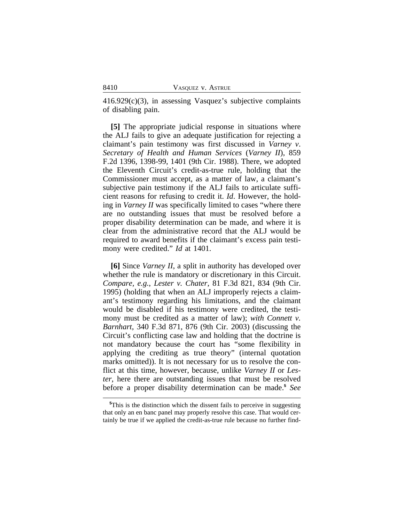$416.929(c)(3)$ , in assessing Vasquez's subjective complaints of disabling pain.

**[5]** The appropriate judicial response in situations where the ALJ fails to give an adequate justification for rejecting a claimant's pain testimony was first discussed in *Varney v*. *Secretary of Health and Human Services* (*Varney II*), 859 F.2d 1396, 1398-99, 1401 (9th Cir. 1988). There, we adopted the Eleventh Circuit's credit-as-true rule, holding that the Commissioner must accept, as a matter of law, a claimant's subjective pain testimony if the ALJ fails to articulate sufficient reasons for refusing to credit it. *Id*. However, the holding in *Varney II* was specifically limited to cases "where there are no outstanding issues that must be resolved before a proper disability determination can be made, and where it is clear from the administrative record that the ALJ would be required to award benefits if the claimant's excess pain testimony were credited." *Id* at 1401.

**[6]** Since *Varney II*, a split in authority has developed over whether the rule is mandatory or discretionary in this Circuit. *Compare, e.g.*, *Lester v. Chater*, 81 F.3d 821, 834 (9th Cir. 1995) (holding that when an ALJ improperly rejects a claimant's testimony regarding his limitations, and the claimant would be disabled if his testimony were credited, the testimony must be credited as a matter of law); *with Connett v. Barnhart*, 340 F.3d 871, 876 (9th Cir. 2003) (discussing the Circuit's conflicting case law and holding that the doctrine is not mandatory because the court has "some flexibility in applying the crediting as true theory" (internal quotation marks omitted)). It is not necessary for us to resolve the conflict at this time, however, because, unlike *Varney II* or *Lester*, here there are outstanding issues that must be resolved before a proper disability determination can be made.**<sup>5</sup>** *See*

**<sup>5</sup>**This is the distinction which the dissent fails to perceive in suggesting that only an en banc panel may properly resolve this case. That would certainly be true if we applied the credit-as-true rule because no further find-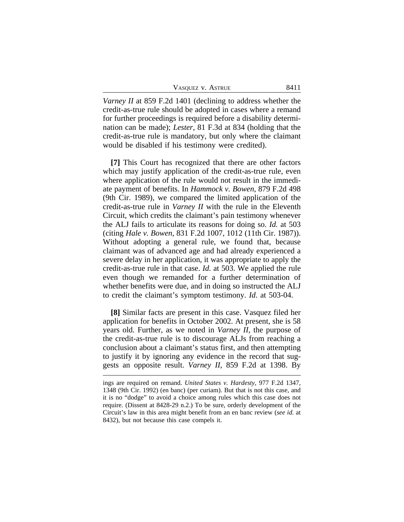| VASQUEZ V. ASTRUE | 8411 |
|-------------------|------|
|-------------------|------|

*Varney II* at 859 F.2d 1401 (declining to address whether the credit-as-true rule should be adopted in cases where a remand for further proceedings is required before a disability determination can be made); *Lester*, 81 F.3d at 834 (holding that the credit-as-true rule is mandatory, but only where the claimant would be disabled if his testimony were credited).

**[7]** This Court has recognized that there are other factors which may justify application of the credit-as-true rule, even where application of the rule would not result in the immediate payment of benefits. In *Hammock v. Bowen*, 879 F.2d 498 (9th Cir. 1989), we compared the limited application of the credit-as-true rule in *Varney II* with the rule in the Eleventh Circuit, which credits the claimant's pain testimony whenever the ALJ fails to articulate its reasons for doing so. *Id.* at 503 (citing *Hale v. Bowen*, 831 F.2d 1007, 1012 (11th Cir. 1987)). Without adopting a general rule, we found that, because claimant was of advanced age and had already experienced a severe delay in her application, it was appropriate to apply the credit-as-true rule in that case. *Id.* at 503. We applied the rule even though we remanded for a further determination of whether benefits were due, and in doing so instructed the ALJ to credit the claimant's symptom testimony. *Id*. at 503-04.

**[8]** Similar facts are present in this case. Vasquez filed her application for benefits in October 2002. At present, she is 58 years old. Further, as we noted in *Varney II*, the purpose of the credit-as-true rule is to discourage ALJs from reaching a conclusion about a claimant's status first, and then attempting to justify it by ignoring any evidence in the record that suggests an opposite result. *Varney II*, 859 F.2d at 1398. By

ings are required on remand. *United States v. Hardesty*, 977 F.2d 1347, 1348 (9th Cir. 1992) (en banc) (per curiam). But that is not this case, and it is no "dodge" to avoid a choice among rules which this case does not require. (Dissent at 8428-29 n.2.) To be sure, orderly development of the Circuit's law in this area might benefit from an en banc review (*see id.* at 8432), but not because this case compels it.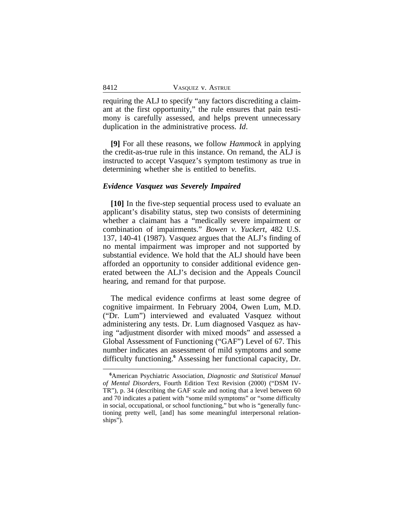requiring the ALJ to specify "any factors discrediting a claimant at the first opportunity," the rule ensures that pain testimony is carefully assessed, and helps prevent unnecessary duplication in the administrative process. *Id*.

**[9]** For all these reasons, we follow *Hammock* in applying the credit-as-true rule in this instance. On remand, the ALJ is instructed to accept Vasquez's symptom testimony as true in determining whether she is entitled to benefits.

#### *Evidence Vasquez was Severely Impaired*

**[10]** In the five-step sequential process used to evaluate an applicant's disability status, step two consists of determining whether a claimant has a "medically severe impairment or combination of impairments." *Bowen v. Yuckert*, 482 U.S. 137, 140-41 (1987). Vasquez argues that the ALJ's finding of no mental impairment was improper and not supported by substantial evidence. We hold that the ALJ should have been afforded an opportunity to consider additional evidence generated between the ALJ's decision and the Appeals Council hearing, and remand for that purpose.

The medical evidence confirms at least some degree of cognitive impairment. In February 2004, Owen Lum, M.D. ("Dr. Lum") interviewed and evaluated Vasquez without administering any tests. Dr. Lum diagnosed Vasquez as having "adjustment disorder with mixed moods" and assessed a Global Assessment of Functioning ("GAF") Level of 67. This number indicates an assessment of mild symptoms and some difficulty functioning.**<sup>6</sup>** Assessing her functional capacity, Dr.

**<sup>6</sup>**American Psychiatric Association, *Diagnostic and Statistical Manual of Mental Disorders*, Fourth Edition Text Revision (2000) ("DSM IV-TR"), p. 34 (describing the GAF scale and noting that a level between 60 and 70 indicates a patient with "some mild symptoms" or "some difficulty in social, occupational, or school functioning," but who is "generally functioning pretty well, [and] has some meaningful interpersonal relationships").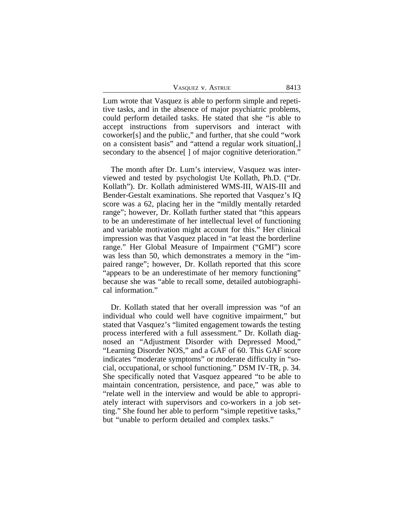| VASQUEZ V. ASTRUE | 8413 |
|-------------------|------|
|-------------------|------|

Lum wrote that Vasquez is able to perform simple and repetitive tasks, and in the absence of major psychiatric problems, could perform detailed tasks. He stated that she "is able to accept instructions from supervisors and interact with coworker[s] and the public," and further, that she could "work on a consistent basis" and "attend a regular work situation[,] secondary to the absence<sup>[]</sup> of major cognitive deterioration."

The month after Dr. Lum's interview, Vasquez was interviewed and tested by psychologist Ute Kollath, Ph.D. ("Dr. Kollath"). Dr. Kollath administered WMS-III, WAIS-III and Bender-Gestalt examinations. She reported that Vasquez's IQ score was a 62, placing her in the "mildly mentally retarded range"; however, Dr. Kollath further stated that "this appears to be an underestimate of her intellectual level of functioning and variable motivation might account for this." Her clinical impression was that Vasquez placed in "at least the borderline range." Her Global Measure of Impairment ("GMI") score was less than 50, which demonstrates a memory in the "impaired range"; however, Dr. Kollath reported that this score "appears to be an underestimate of her memory functioning" because she was "able to recall some, detailed autobiographical information."

Dr. Kollath stated that her overall impression was "of an individual who could well have cognitive impairment," but stated that Vasquez's "limited engagement towards the testing process interfered with a full assessment." Dr. Kollath diagnosed an "Adjustment Disorder with Depressed Mood," "Learning Disorder NOS," and a GAF of 60. This GAF score indicates "moderate symptoms" or moderate difficulty in "social, occupational, or school functioning." DSM IV-TR, p. 34. She specifically noted that Vasquez appeared "to be able to maintain concentration, persistence, and pace," was able to "relate well in the interview and would be able to appropriately interact with supervisors and co-workers in a job setting." She found her able to perform "simple repetitive tasks," but "unable to perform detailed and complex tasks."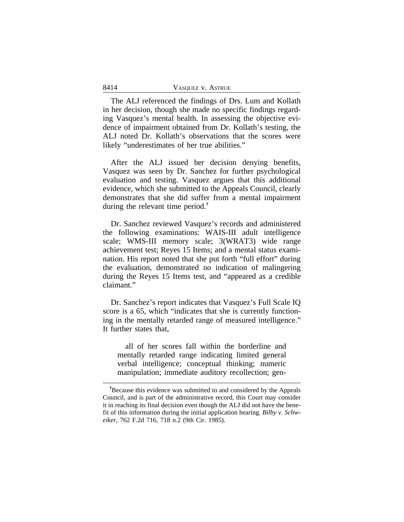| 8414 | VASQUEZ V. ASTRUE |
|------|-------------------|
|------|-------------------|

The ALJ referenced the findings of Drs. Lum and Kollath in her decision, though she made no specific findings regarding Vasquez's mental health. In assessing the objective evidence of impairment obtained from Dr. Kollath's testing, the ALJ noted Dr. Kollath's observations that the scores were likely "underestimates of her true abilities."

After the ALJ issued her decision denying benefits, Vasquez was seen by Dr. Sanchez for further psychological evaluation and testing. Vasquez argues that this additional evidence, which she submitted to the Appeals Council, clearly demonstrates that she did suffer from a mental impairment during the relevant time period.**<sup>7</sup>**

Dr. Sanchez reviewed Vasquez's records and administered the following examinations: WAIS-III adult intelligence scale; WMS-III memory scale; 3(WRAT3) wide range achievement test; Reyes 15 Items; and a mental status examination. His report noted that she put forth "full effort" during the evaluation, demonstrated no indication of malingering during the Reyes 15 Items test, and "appeared as a credible claimant."

Dr. Sanchez's report indicates that Vasquez's Full Scale IQ score is a 65, which "indicates that she is currently functioning in the mentally retarded range of measured intelligence." It further states that,

all of her scores fall within the borderline and mentally retarded range indicating limited general verbal intelligence; conceptual thinking; numeric manipulation; immediate auditory recollection; gen-

**<sup>7</sup>**Because this evidence was submitted to and considered by the Appeals Council, and is part of the administrative record, this Court may consider it in reaching its final decision even though the ALJ did not have the benefit of this information during the initial application hearing. *Bilby v. Schweiker*, 762 F.2d 716, 718 n.2 (9th Cir. 1985).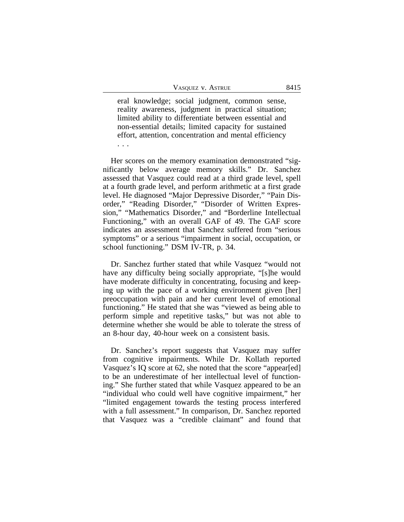eral knowledge; social judgment, common sense, reality awareness, judgment in practical situation; limited ability to differentiate between essential and non-essential details; limited capacity for sustained effort, attention, concentration and mental efficiency . . .

Her scores on the memory examination demonstrated "significantly below average memory skills." Dr. Sanchez assessed that Vasquez could read at a third grade level, spell at a fourth grade level, and perform arithmetic at a first grade level. He diagnosed "Major Depressive Disorder," "Pain Disorder," "Reading Disorder," "Disorder of Written Expression," "Mathematics Disorder," and "Borderline Intellectual Functioning," with an overall GAF of 49. The GAF score indicates an assessment that Sanchez suffered from "serious symptoms" or a serious "impairment in social, occupation, or school functioning." DSM IV-TR, p. 34.

Dr. Sanchez further stated that while Vasquez "would not have any difficulty being socially appropriate, "[s]he would have moderate difficulty in concentrating, focusing and keeping up with the pace of a working environment given [her] preoccupation with pain and her current level of emotional functioning." He stated that she was "viewed as being able to perform simple and repetitive tasks," but was not able to determine whether she would be able to tolerate the stress of an 8-hour day, 40-hour week on a consistent basis.

Dr. Sanchez's report suggests that Vasquez may suffer from cognitive impairments. While Dr. Kollath reported Vasquez's IQ score at 62, she noted that the score "appear[ed] to be an underestimate of her intellectual level of functioning." She further stated that while Vasquez appeared to be an "individual who could well have cognitive impairment," her "limited engagement towards the testing process interfered with a full assessment." In comparison, Dr. Sanchez reported that Vasquez was a "credible claimant" and found that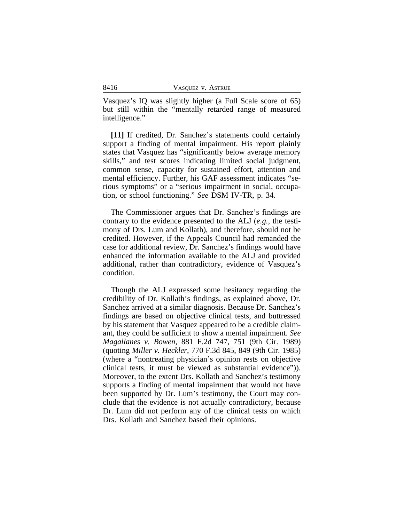Vasquez's IQ was slightly higher (a Full Scale score of 65) but still within the "mentally retarded range of measured intelligence."

**[11]** If credited, Dr. Sanchez's statements could certainly support a finding of mental impairment. His report plainly states that Vasquez has "significantly below average memory skills," and test scores indicating limited social judgment, common sense, capacity for sustained effort, attention and mental efficiency. Further, his GAF assessment indicates "serious symptoms" or a "serious impairment in social, occupation, or school functioning." *See* DSM IV-TR, p. 34.

The Commissioner argues that Dr. Sanchez's findings are contrary to the evidence presented to the ALJ (*e.g.*, the testimony of Drs. Lum and Kollath), and therefore, should not be credited. However, if the Appeals Council had remanded the case for additional review, Dr. Sanchez's findings would have enhanced the information available to the ALJ and provided additional, rather than contradictory, evidence of Vasquez's condition.

Though the ALJ expressed some hesitancy regarding the credibility of Dr. Kollath's findings, as explained above, Dr. Sanchez arrived at a similar diagnosis. Because Dr. Sanchez's findings are based on objective clinical tests, and buttressed by his statement that Vasquez appeared to be a credible claimant, they could be sufficient to show a mental impairment. *See Magallanes v. Bowen*, 881 F.2d 747, 751 (9th Cir. 1989) (quoting *Miller v. Heckler*, 770 F.3d 845, 849 (9th Cir. 1985) (where a "nontreating physician's opinion rests on objective clinical tests, it must be viewed as substantial evidence")). Moreover, to the extent Drs. Kollath and Sanchez's testimony supports a finding of mental impairment that would not have been supported by Dr. Lum's testimony, the Court may conclude that the evidence is not actually contradictory, because Dr. Lum did not perform any of the clinical tests on which Drs. Kollath and Sanchez based their opinions.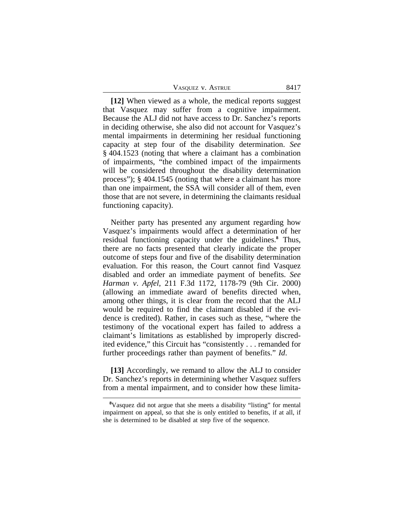| VASQUEZ V. ASTRUE | 8417 |
|-------------------|------|
|-------------------|------|

**[12]** When viewed as a whole, the medical reports suggest that Vasquez may suffer from a cognitive impairment. Because the ALJ did not have access to Dr. Sanchez's reports in deciding otherwise, she also did not account for Vasquez's mental impairments in determining her residual functioning capacity at step four of the disability determination. *See* § 404.1523 (noting that where a claimant has a combination of impairments, "the combined impact of the impairments will be considered throughout the disability determination process"); § 404.1545 (noting that where a claimant has more than one impairment, the SSA will consider all of them, even those that are not severe, in determining the claimants residual functioning capacity).

Neither party has presented any argument regarding how Vasquez's impairments would affect a determination of her residual functioning capacity under the guidelines.**<sup>8</sup>** Thus, there are no facts presented that clearly indicate the proper outcome of steps four and five of the disability determination evaluation. For this reason, the Court cannot find Vasquez disabled and order an immediate payment of benefits. *See Harman v*. *Apfel*, 211 F.3d 1172, 1178-79 (9th Cir. 2000) (allowing an immediate award of benefits directed when, among other things, it is clear from the record that the ALJ would be required to find the claimant disabled if the evidence is credited). Rather, in cases such as these, "where the testimony of the vocational expert has failed to address a claimant's limitations as established by improperly discredited evidence," this Circuit has "consistently . . . remanded for further proceedings rather than payment of benefits." *Id*.

**[13]** Accordingly, we remand to allow the ALJ to consider Dr. Sanchez's reports in determining whether Vasquez suffers from a mental impairment, and to consider how these limita-

**<sup>8</sup>**Vasquez did not argue that she meets a disability "listing" for mental impairment on appeal, so that she is only entitled to benefits, if at all, if she is determined to be disabled at step five of the sequence.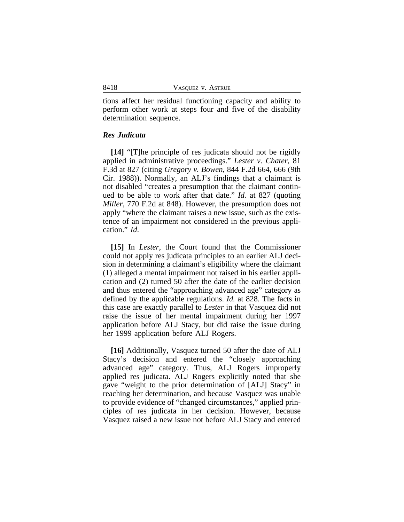tions affect her residual functioning capacity and ability to perform other work at steps four and five of the disability determination sequence.

#### *Res Judicata*

**[14]** "[T]he principle of res judicata should not be rigidly applied in administrative proceedings." *Lester v. Chater*, 81 F.3d at 827 (citing *Gregory v. Bowen*, 844 F.2d 664, 666 (9th Cir. 1988)). Normally, an ALJ's findings that a claimant is not disabled "creates a presumption that the claimant continued to be able to work after that date." *Id.* at 827 (quoting *Miller*, 770 F.2d at 848). However, the presumption does not apply "where the claimant raises a new issue, such as the existence of an impairment not considered in the previous application." *Id*.

**[15]** In *Lester*, the Court found that the Commissioner could not apply res judicata principles to an earlier ALJ decision in determining a claimant's eligibility where the claimant (1) alleged a mental impairment not raised in his earlier application and (2) turned 50 after the date of the earlier decision and thus entered the "approaching advanced age" category as defined by the applicable regulations. *Id.* at 828. The facts in this case are exactly parallel to *Lester* in that Vasquez did not raise the issue of her mental impairment during her 1997 application before ALJ Stacy, but did raise the issue during her 1999 application before ALJ Rogers.

**[16]** Additionally, Vasquez turned 50 after the date of ALJ Stacy's decision and entered the "closely approaching advanced age" category. Thus, ALJ Rogers improperly applied res judicata. ALJ Rogers explicitly noted that she gave "weight to the prior determination of [ALJ] Stacy" in reaching her determination, and because Vasquez was unable to provide evidence of "changed circumstances," applied principles of res judicata in her decision. However, because Vasquez raised a new issue not before ALJ Stacy and entered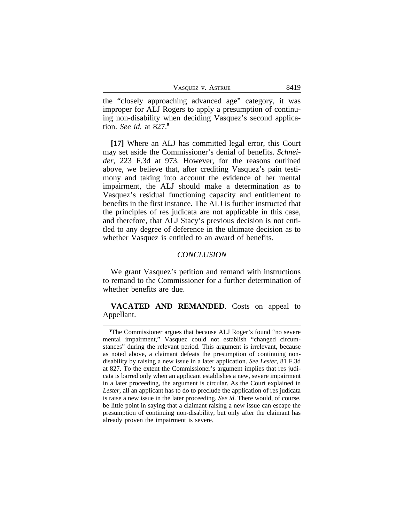| VASQUEZ V. ASTRUE | 8419 |
|-------------------|------|
|-------------------|------|

the "closely approaching advanced age" category, it was improper for ALJ Rogers to apply a presumption of continuing non-disability when deciding Vasquez's second application. *See id.* at 827.**<sup>9</sup>**

**[17]** Where an ALJ has committed legal error, this Court may set aside the Commissioner's denial of benefits. *Schneider*, 223 F.3d at 973. However, for the reasons outlined above, we believe that, after crediting Vasquez's pain testimony and taking into account the evidence of her mental impairment, the ALJ should make a determination as to Vasquez's residual functioning capacity and entitlement to benefits in the first instance. The ALJ is further instructed that the principles of res judicata are not applicable in this case, and therefore, that ALJ Stacy's previous decision is not entitled to any degree of deference in the ultimate decision as to whether Vasquez is entitled to an award of benefits.

#### *CONCLUSION*

We grant Vasquez's petition and remand with instructions to remand to the Commissioner for a further determination of whether benefits are due.

**VACATED AND REMANDED**. Costs on appeal to Appellant.

<sup>&</sup>lt;sup>9</sup>The Commissioner argues that because ALJ Roger's found "no severe" mental impairment," Vasquez could not establish "changed circumstances" during the relevant period. This argument is irrelevant, because as noted above, a claimant defeats the presumption of continuing nondisability by raising a new issue in a later application. *See Lester*, 81 F.3d at 827. To the extent the Commissioner's argument implies that res judicata is barred only when an applicant establishes a new, severe impairment in a later proceeding, the argument is circular. As the Court explained in *Lester*, all an applicant has to do to preclude the application of res judicata is raise a new issue in the later proceeding. *See id*. There would, of course, be little point in saying that a claimant raising a new issue can escape the presumption of continuing non-disability, but only after the claimant has already proven the impairment is severe.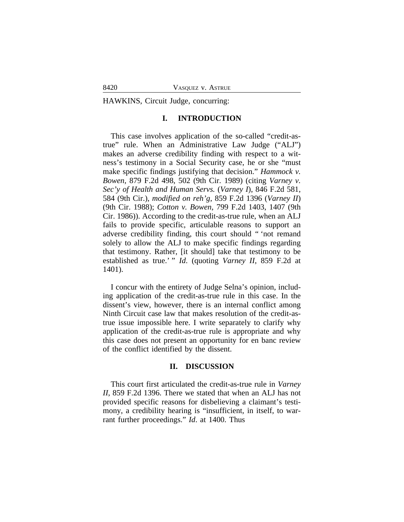HAWKINS, Circuit Judge, concurring:

#### **I. INTRODUCTION**

This case involves application of the so-called "credit-astrue" rule. When an Administrative Law Judge ("ALJ") makes an adverse credibility finding with respect to a witness's testimony in a Social Security case, he or she "must make specific findings justifying that decision." *Hammock v. Bowen*, 879 F.2d 498, 502 (9th Cir. 1989) (citing *Varney v. Sec'y of Health and Human Servs.* (*Varney I*), 846 F.2d 581, 584 (9th Cir.), *modified on reh'g*, 859 F.2d 1396 (*Varney II*) (9th Cir. 1988); *Cotton v. Bowen*, 799 F.2d 1403, 1407 (9th Cir. 1986)). According to the credit-as-true rule, when an ALJ fails to provide specific, articulable reasons to support an adverse credibility finding, this court should " 'not remand solely to allow the ALJ to make specific findings regarding that testimony. Rather, [it should] take that testimony to be established as true.' " *Id.* (quoting *Varney II*, 859 F.2d at 1401).

I concur with the entirety of Judge Selna's opinion, including application of the credit-as-true rule in this case. In the dissent's view, however, there is an internal conflict among Ninth Circuit case law that makes resolution of the credit-astrue issue impossible here. I write separately to clarify why application of the credit-as-true rule is appropriate and why this case does not present an opportunity for en banc review of the conflict identified by the dissent.

#### **II. DISCUSSION**

This court first articulated the credit-as-true rule in *Varney II*, 859 F.2d 1396. There we stated that when an ALJ has not provided specific reasons for disbelieving a claimant's testimony, a credibility hearing is "insufficient, in itself, to warrant further proceedings." *Id*. at 1400. Thus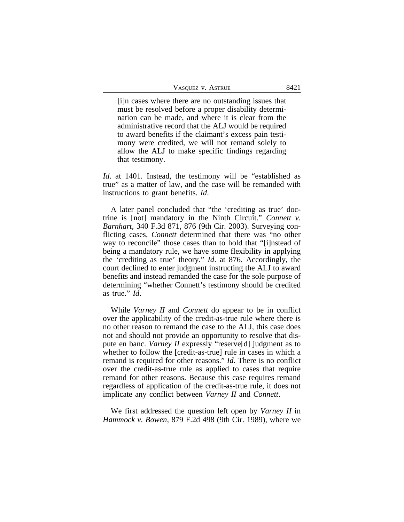| VASQUEZ V. ASTRUE | 8421 |
|-------------------|------|
|-------------------|------|

[i]n cases where there are no outstanding issues that must be resolved before a proper disability determination can be made, and where it is clear from the administrative record that the ALJ would be required to award benefits if the claimant's excess pain testimony were credited, we will not remand solely to allow the ALJ to make specific findings regarding that testimony.

*Id.* at 1401. Instead, the testimony will be "established as true" as a matter of law, and the case will be remanded with instructions to grant benefits. *Id*.

A later panel concluded that "the 'crediting as true' doctrine is [not] mandatory in the Ninth Circuit." *Connett v. Barnhart*, 340 F.3d 871, 876 (9th Cir. 2003). Surveying conflicting cases, *Connett* determined that there was "no other way to reconcile" those cases than to hold that "[i]nstead of being a mandatory rule, we have some flexibility in applying the 'crediting as true' theory." *Id*. at 876. Accordingly, the court declined to enter judgment instructing the ALJ to award benefits and instead remanded the case for the sole purpose of determining "whether Connett's testimony should be credited as true." *Id*.

While *Varney II* and *Connett* do appear to be in conflict over the applicability of the credit-as-true rule where there is no other reason to remand the case to the ALJ, this case does not and should not provide an opportunity to resolve that dispute en banc. *Varney II* expressly "reserve[d] judgment as to whether to follow the [credit-as-true] rule in cases in which a remand is required for other reasons." *Id*. There is no conflict over the credit-as-true rule as applied to cases that require remand for other reasons. Because this case requires remand regardless of application of the credit-as-true rule, it does not implicate any conflict between *Varney II* and *Connett*.

We first addressed the question left open by *Varney II* in *Hammock v. Bowen*, 879 F.2d 498 (9th Cir. 1989), where we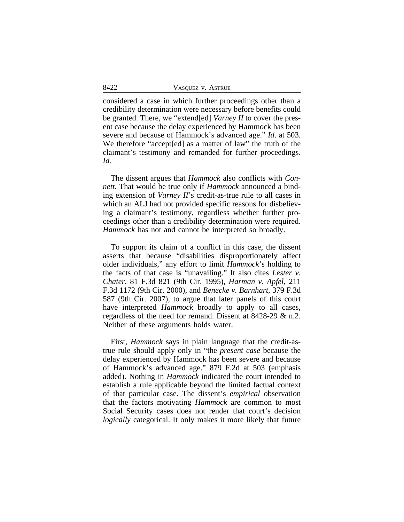considered a case in which further proceedings other than a credibility determination were necessary before benefits could be granted. There, we "extend[ed] *Varney II* to cover the present case because the delay experienced by Hammock has been severe and because of Hammock's advanced age." *Id*. at 503. We therefore "accept[ed] as a matter of law" the truth of the claimant's testimony and remanded for further proceedings. *Id*.

The dissent argues that *Hammock* also conflicts with *Connett*. That would be true only if *Hammock* announced a binding extension of *Varney II*'s credit-as-true rule to all cases in which an ALJ had not provided specific reasons for disbelieving a claimant's testimony, regardless whether further proceedings other than a credibility determination were required. *Hammock* has not and cannot be interpreted so broadly.

To support its claim of a conflict in this case, the dissent asserts that because "disabilities disproportionately affect older individuals," any effort to limit *Hammock*'s holding to the facts of that case is "unavailing." It also cites *Lester v. Chater*, 81 F.3d 821 (9th Cir. 1995), *Harman v. Apfel*, 211 F.3d 1172 (9th Cir. 2000), and *Benecke v. Barnhart*, 379 F.3d 587 (9th Cir. 2007), to argue that later panels of this court have interpreted *Hammock* broadly to apply to all cases, regardless of the need for remand. Dissent at 8428-29 & n.2. Neither of these arguments holds water.

First, *Hammock* says in plain language that the credit-astrue rule should apply only in "the *present case* because the delay experienced by Hammock has been severe and because of Hammock's advanced age." 879 F.2d at 503 (emphasis added). Nothing in *Hammock* indicated the court intended to establish a rule applicable beyond the limited factual context of that particular case. The dissent's *empirical* observation that the factors motivating *Hammock* are common to most Social Security cases does not render that court's decision *logically* categorical. It only makes it more likely that future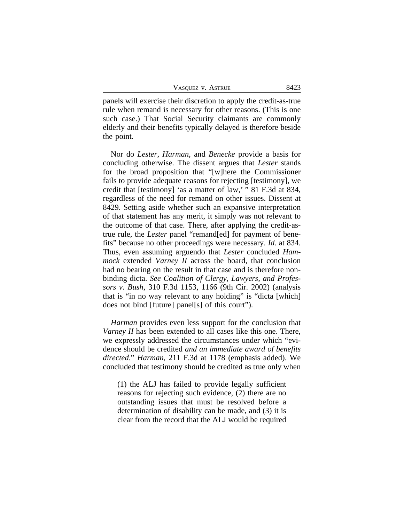| VASQUEZ V. ASTRUE | 8423 |
|-------------------|------|
|-------------------|------|

panels will exercise their discretion to apply the credit-as-true rule when remand is necessary for other reasons. (This is one such case.) That Social Security claimants are commonly elderly and their benefits typically delayed is therefore beside the point.

Nor do *Lester*, *Harman*, and *Benecke* provide a basis for concluding otherwise. The dissent argues that *Lester* stands for the broad proposition that "[w]here the Commissioner fails to provide adequate reasons for rejecting [testimony], we credit that [testimony] 'as a matter of law,' " 81 F.3d at 834, regardless of the need for remand on other issues. Dissent at 8429. Setting aside whether such an expansive interpretation of that statement has any merit, it simply was not relevant to the outcome of that case. There, after applying the credit-astrue rule, the *Lester* panel "remand[ed] for payment of benefits" because no other proceedings were necessary. *Id*. at 834. Thus, even assuming arguendo that *Lester* concluded *Hammock* extended *Varney II* across the board, that conclusion had no bearing on the result in that case and is therefore nonbinding dicta. *See Coalition of Clergy, Lawyers, and Professors v. Bush*, 310 F.3d 1153, 1166 (9th Cir. 2002) (analysis that is "in no way relevant to any holding" is "dicta [which] does not bind [future] panel[s] of this court").

*Harman* provides even less support for the conclusion that *Varney II* has been extended to all cases like this one. There, we expressly addressed the circumstances under which "evidence should be credited *and an immediate award of benefits directed*." *Harman*, 211 F.3d at 1178 (emphasis added). We concluded that testimony should be credited as true only when

(1) the ALJ has failed to provide legally sufficient reasons for rejecting such evidence, (2) there are no outstanding issues that must be resolved before a determination of disability can be made, and (3) it is clear from the record that the ALJ would be required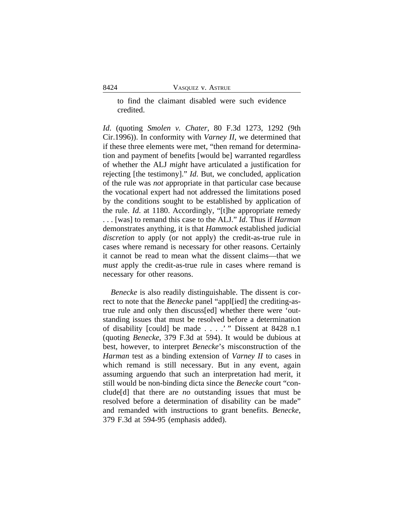to find the claimant disabled were such evidence credited.

*Id*. (quoting *Smolen v. Chater*, 80 F.3d 1273, 1292 (9th Cir.1996)). In conformity with *Varney II*, we determined that if these three elements were met, "then remand for determination and payment of benefits [would be] warranted regardless of whether the ALJ *might* have articulated a justification for rejecting [the testimony]." *Id*. But, we concluded, application of the rule was *not* appropriate in that particular case because the vocational expert had not addressed the limitations posed by the conditions sought to be established by application of the rule. *Id*. at 1180. Accordingly, "[t]he appropriate remedy . . . [was] to remand this case to the ALJ." *Id*. Thus if *Harman* demonstrates anything, it is that *Hammock* established judicial *discretion* to apply (or not apply) the credit-as-true rule in cases where remand is necessary for other reasons. Certainly it cannot be read to mean what the dissent claims—that we *must* apply the credit-as-true rule in cases where remand is necessary for other reasons.

*Benecke* is also readily distinguishable. The dissent is correct to note that the *Benecke* panel "appl[ied] the crediting-astrue rule and only then discuss[ed] whether there were 'outstanding issues that must be resolved before a determination of disability [could] be made . . . .' " Dissent at 8428 n.1 (quoting *Benecke*, 379 F.3d at 594). It would be dubious at best, however, to interpret *Benecke*'s misconstruction of the *Harman* test as a binding extension of *Varney II* to cases in which remand is still necessary. But in any event, again assuming arguendo that such an interpretation had merit, it still would be non-binding dicta since the *Benecke* court "conclude[d] that there are *no* outstanding issues that must be resolved before a determination of disability can be made" and remanded with instructions to grant benefits. *Benecke*, 379 F.3d at 594-95 (emphasis added).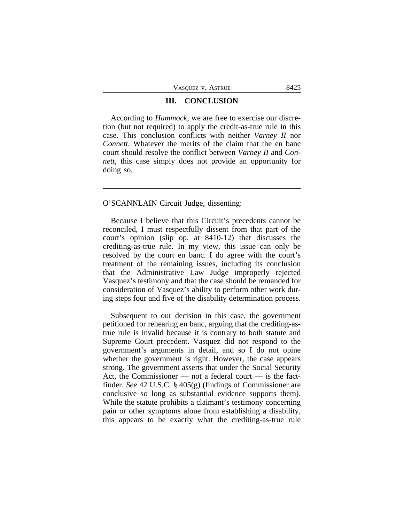#### **III. CONCLUSION**

According to *Hammock*, we are free to exercise our discretion (but not required) to apply the credit-as-true rule in this case. This conclusion conflicts with neither *Varney II* nor *Connett*. Whatever the merits of the claim that the en banc court should resolve the conflict between *Varney II* and *Connett*, this case simply does not provide an opportunity for doing so.

#### O'SCANNLAIN Circuit Judge, dissenting:

Because I believe that this Circuit's precedents cannot be reconciled, I must respectfully dissent from that part of the court's opinion (slip op. at 8410-12) that discusses the crediting-as-true rule. In my view, this issue can only be resolved by the court en banc. I do agree with the court's treatment of the remaining issues, including its conclusion that the Administrative Law Judge improperly rejected Vasquez's testimony and that the case should be remanded for consideration of Vasquez's ability to perform other work during steps four and five of the disability determination process.

Subsequent to our decision in this case, the government petitioned for rehearing en banc, arguing that the crediting-astrue rule is invalid because it is contrary to both statute and Supreme Court precedent. Vasquez did not respond to the government's arguments in detail, and so I do not opine whether the government is right. However, the case appears strong. The government asserts that under the Social Security Act, the Commissioner — not a federal court — is the factfinder. *See* 42 U.S.C. § 405(g) (findings of Commissioner are conclusive so long as substantial evidence supports them). While the statute prohibits a claimant's testimony concerning pain or other symptoms alone from establishing a disability, this appears to be exactly what the crediting-as-true rule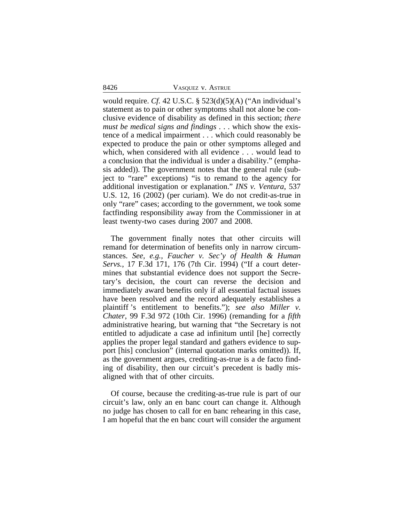8426 VASQUEZ v. ASTRUE

would require. *Cf.* 42 U.S.C. § 523(d)(5)(A) ("An individual's statement as to pain or other symptoms shall not alone be conclusive evidence of disability as defined in this section; *there must be medical signs and findings* . . . which show the existence of a medical impairment . . . which could reasonably be expected to produce the pain or other symptoms alleged and which, when considered with all evidence . . . would lead to a conclusion that the individual is under a disability." (emphasis added)). The government notes that the general rule (subject to "rare" exceptions) "is to remand to the agency for additional investigation or explanation." *INS v. Ventura*, 537 U.S. 12, 16 (2002) (per curiam). We do not credit-as-true in only "rare" cases; according to the government, we took some factfinding responsibility away from the Commissioner in at least twenty-two cases during 2007 and 2008.

The government finally notes that other circuits will remand for determination of benefits only in narrow circumstances. *See, e.g., Faucher v. Sec'y of Health & Human Servs.*, 17 F.3d 171, 176 (7th Cir. 1994) ("If a court determines that substantial evidence does not support the Secretary's decision, the court can reverse the decision and immediately award benefits only if all essential factual issues have been resolved and the record adequately establishes a plaintiff 's entitlement to benefits."); *see also Miller v. Chater*, 99 F.3d 972 (10th Cir. 1996) (remanding for a *fifth* administrative hearing, but warning that "the Secretary is not entitled to adjudicate a case ad infinitum until [he] correctly applies the proper legal standard and gathers evidence to support [his] conclusion" (internal quotation marks omitted)). If, as the government argues, crediting-as-true is a de facto finding of disability, then our circuit's precedent is badly misaligned with that of other circuits.

Of course, because the crediting-as-true rule is part of our circuit's law, only an en banc court can change it. Although no judge has chosen to call for en banc rehearing in this case, I am hopeful that the en banc court will consider the argument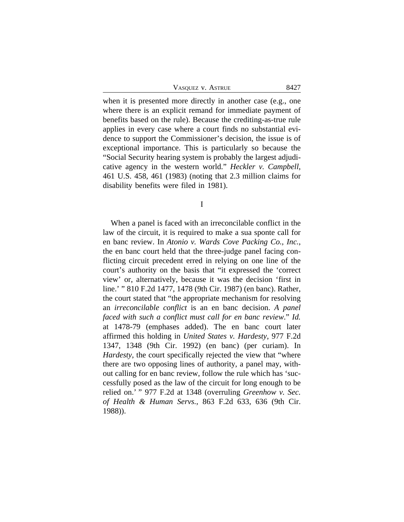| VASQUEZ V. ASTRUE | 8427 |
|-------------------|------|
|-------------------|------|

when it is presented more directly in another case (e.g., one where there is an explicit remand for immediate payment of benefits based on the rule). Because the crediting-as-true rule applies in every case where a court finds no substantial evidence to support the Commissioner's decision, the issue is of exceptional importance. This is particularly so because the "Social Security hearing system is probably the largest adjudicative agency in the western world." *Heckler v. Campbell*, 461 U.S. 458, 461 (1983) (noting that 2.3 million claims for disability benefits were filed in 1981).

I

When a panel is faced with an irreconcilable conflict in the law of the circuit, it is required to make a sua sponte call for en banc review. In *Atonio v. Wards Cove Packing Co., Inc.*, the en banc court held that the three-judge panel facing conflicting circuit precedent erred in relying on one line of the court's authority on the basis that "it expressed the 'correct view' or, alternatively, because it was the decision 'first in line.' " 810 F.2d 1477, 1478 (9th Cir. 1987) (en banc). Rather, the court stated that "the appropriate mechanism for resolving an *irreconcilable conflict* is an en banc decision. *A panel faced with such a conflict must call for en banc review*." *Id.* at 1478-79 (emphases added). The en banc court later affirmed this holding in *United States v. Hardesty*, 977 F.2d 1347, 1348 (9th Cir. 1992) (en banc) (per curiam). In *Hardesty*, the court specifically rejected the view that "where there are two opposing lines of authority, a panel may, without calling for en banc review, follow the rule which has 'successfully posed as the law of the circuit for long enough to be relied on.' " 977 F.2d at 1348 (overruling *Greenhow v. Sec. of Health & Human Servs.*, 863 F.2d 633, 636 (9th Cir. 1988)).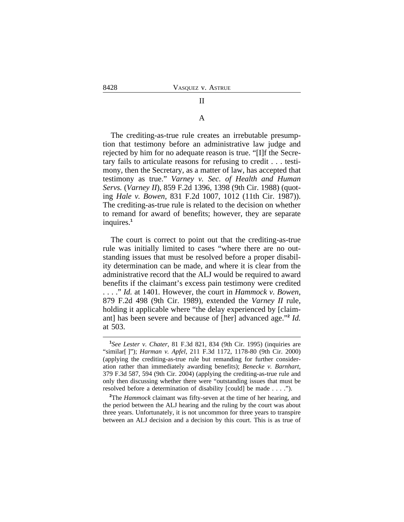# II

#### A

The crediting-as-true rule creates an irrebutable presumption that testimony before an administrative law judge and rejected by him for no adequate reason is true. "[I]f the Secretary fails to articulate reasons for refusing to credit . . . testimony, then the Secretary, as a matter of law, has accepted that testimony as true." *Varney v. Sec. of Health and Human Servs.* (*Varney II*), 859 F.2d 1396, 1398 (9th Cir. 1988) (quoting *Hale v. Bowen*, 831 F.2d 1007, 1012 (11th Cir. 1987)). The crediting-as-true rule is related to the decision on whether to remand for award of benefits; however, they are separate inquires.**<sup>1</sup>**

The court is correct to point out that the crediting-as-true rule was initially limited to cases "where there are no outstanding issues that must be resolved before a proper disability determination can be made, and where it is clear from the administrative record that the ALJ would be required to award benefits if the claimant's excess pain testimony were credited . . . ." *Id.* at 1401*.* However, the court in *Hammock v. Bowen*, 879 F.2d 498 (9th Cir. 1989), extended the *Varney II* rule, holding it applicable where "the delay experienced by [claimant] has been severe and because of [her] advanced age." **2** *Id.* at 503.

**<sup>1</sup>** *See Lester v. Chater*, 81 F.3d 821, 834 (9th Cir. 1995) (inquiries are "similar[ ]"); *Harman v. Apfel*, 211 F.3d 1172, 1178-80 (9th Cir. 2000) (applying the crediting-as-true rule but remanding for further consideration rather than immediately awarding benefits); *Benecke v. Barnhart*, 379 F.3d 587, 594 (9th Cir. 2004) (applying the crediting-as-true rule and only then discussing whether there were "outstanding issues that must be resolved before a determination of disability [could] be made . . . .").

**<sup>2</sup>**The *Hammock* claimant was fifty-seven at the time of her hearing, and the period between the ALJ hearing and the ruling by the court was about three years. Unfortunately, it is not uncommon for three years to transpire between an ALJ decision and a decision by this court. This is as true of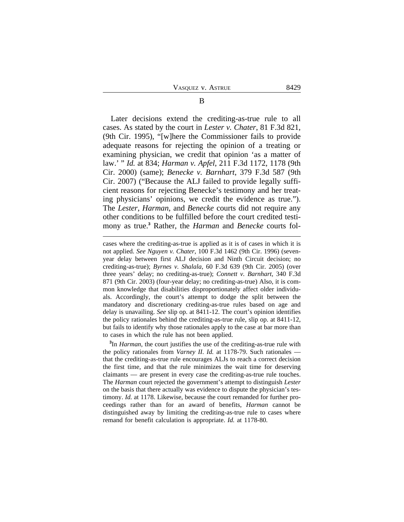Later decisions extend the crediting-as-true rule to all cases. As stated by the court in *Lester v. Chater*, 81 F.3d 821, (9th Cir. 1995), "[w]here the Commissioner fails to provide adequate reasons for rejecting the opinion of a treating or examining physician, we credit that opinion 'as a matter of law.' " *Id.* at 834; *Harman v. Apfel*, 211 F.3d 1172, 1178 (9th Cir. 2000) (same); *Benecke v. Barnhart*, 379 F.3d 587 (9th Cir. 2007) ("Because the ALJ failed to provide legally sufficient reasons for rejecting Benecke's testimony and her treating physicians' opinions, we credit the evidence as true."). The *Lester*, *Harman*, and *Benecke* courts did not require any other conditions to be fulfilled before the court credited testimony as true.**<sup>3</sup>** Rather, the *Harman* and *Benecke* courts fol-

**3** In *Harman*, the court justifies the use of the crediting-as-true rule with the policy rationales from *Varney II*. *Id.* at 1178-79. Such rationales that the crediting-as-true rule encourages ALJs to reach a correct decision the first time, and that the rule minimizes the wait time for deserving claimants — are present in every case the crediting-as-true rule touches. The *Harman* court rejected the government's attempt to distinguish *Lester* on the basis that there actually was evidence to dispute the physician's testimony. *Id.* at 1178. Likewise, because the court remanded for further proceedings rather than for an award of benefits, *Harman* cannot be distinguished away by limiting the crediting-as-true rule to cases where remand for benefit calculation is appropriate. *Id.* at 1178-80.

cases where the crediting-as-true is applied as it is of cases in which it is not applied. *See Nguyen v. Chater*, 100 F.3d 1462 (9th Cir. 1996) (sevenyear delay between first ALJ decision and Ninth Circuit decision; no crediting-as-true); *Byrnes v. Shalala*, 60 F.3d 639 (9th Cir. 2005) (over three years' delay; no crediting-as-true); *Connett v. Barnhart*, 340 F.3d 871 (9th Cir. 2003) (four-year delay; no crediting-as-true) Also, it is common knowledge that disabilities disproportionately affect older individuals. Accordingly, the court's attempt to dodge the split between the mandatory and discretionary crediting-as-true rules based on age and delay is unavailing. *See* slip op. at 8411-12. The court's opinion identifies the policy rationales behind the crediting-as-true rule, slip op. at 8411-12, but fails to identify why those rationales apply to the case at bar more than to cases in which the rule has not been applied.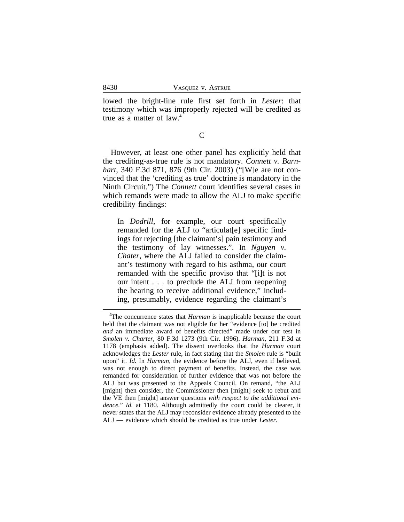lowed the bright-line rule first set forth in *Lester*: that testimony which was improperly rejected will be credited as true as a matter of law.**<sup>4</sup>**

 $\overline{C}$ 

However, at least one other panel has explicitly held that the crediting-as-true rule is not mandatory. *Connett v. Barnhart*, 340 F.3d 871, 876 (9th Cir. 2003) ("[W]e are not convinced that the 'crediting as true' doctrine is mandatory in the Ninth Circuit.") The *Connett* court identifies several cases in which remands were made to allow the ALJ to make specific credibility findings:

In *Dodrill*, for example, our court specifically remanded for the ALJ to "articulat[e] specific findings for rejecting [the claimant's] pain testimony and the testimony of lay witnesses.". In *Nguyen v. Chater*, where the ALJ failed to consider the claimant's testimony with regard to his asthma, our court remanded with the specific proviso that "[i]t is not our intent . . . to preclude the ALJ from reopening the hearing to receive additional evidence," including, presumably, evidence regarding the claimant's

**<sup>4</sup>**The concurrence states that *Harman* is inapplicable because the court held that the claimant was not eligible for her "evidence [to] be credited *and* an immediate award of benefits directed" made under our test in *Smolen v. Charter*, 80 F.3d 1273 (9th Cir. 1996). *Harman*, 211 F.3d at 1178 (emphasis added). The dissent overlooks that the *Harman* court acknowledges the *Lester* rule, in fact stating that the *Smolen* rule is "built upon" it. *Id.* In *Harman*, the evidence before the ALJ, even if believed, was not enough to direct payment of benefits. Instead, the case was remanded for consideration of further evidence that was not before the ALJ but was presented to the Appeals Council. On remand, "the ALJ [might] then consider, the Commissioner then [might] seek to rebut and the VE then [might] answer questions *with respect to the additional evidence.*" *Id.* at 1180. Although admittedly the court could be clearer, it never states that the ALJ may reconsider evidence already presented to the ALJ — evidence which should be credited as true under *Lester*.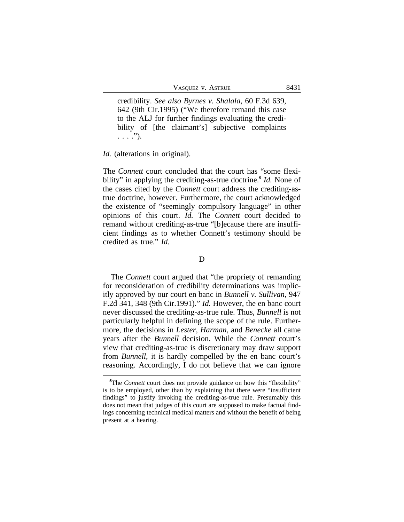VASQUEZ V. ASTRUE 8431

credibility. *See also Byrnes v. Shalala*, 60 F.3d 639, 642 (9th Cir.1995) ("We therefore remand this case to the ALJ for further findings evaluating the credibility of [the claimant's] subjective complaints  $\ldots$  .").

*Id.* (alterations in original).

The *Connett* court concluded that the court has "some flexibility" in applying the crediting-as-true doctrine.**<sup>5</sup>** *Id.* None of the cases cited by the *Connett* court address the crediting-astrue doctrine, however. Furthermore, the court acknowledged the existence of "seemingly compulsory language" in other opinions of this court. *Id.* The *Connett* court decided to remand without crediting-as-true "[b]ecause there are insufficient findings as to whether Connett's testimony should be credited as true." *Id.*

#### D

The *Connett* court argued that "the propriety of remanding for reconsideration of credibility determinations was implicitly approved by our court en banc in *Bunnell v. Sullivan*, 947 F.2d 341, 348 (9th Cir.1991)." *Id.* However, the en banc court never discussed the crediting-as-true rule. Thus, *Bunnell* is not particularly helpful in defining the scope of the rule. Furthermore, the decisions in *Lester*, *Harman*, and *Benecke* all came years after the *Bunnell* decision. While the *Connett* court's view that crediting-as-true is discretionary may draw support from *Bunnell*, it is hardly compelled by the en banc court's reasoning. Accordingly, I do not believe that we can ignore

**<sup>5</sup>**The *Connett* court does not provide guidance on how this "flexibility" is to be employed, other than by explaining that there were "insufficient findings" to justify invoking the crediting-as-true rule. Presumably this does not mean that judges of this court are supposed to make factual findings concerning technical medical matters and without the benefit of being present at a hearing.